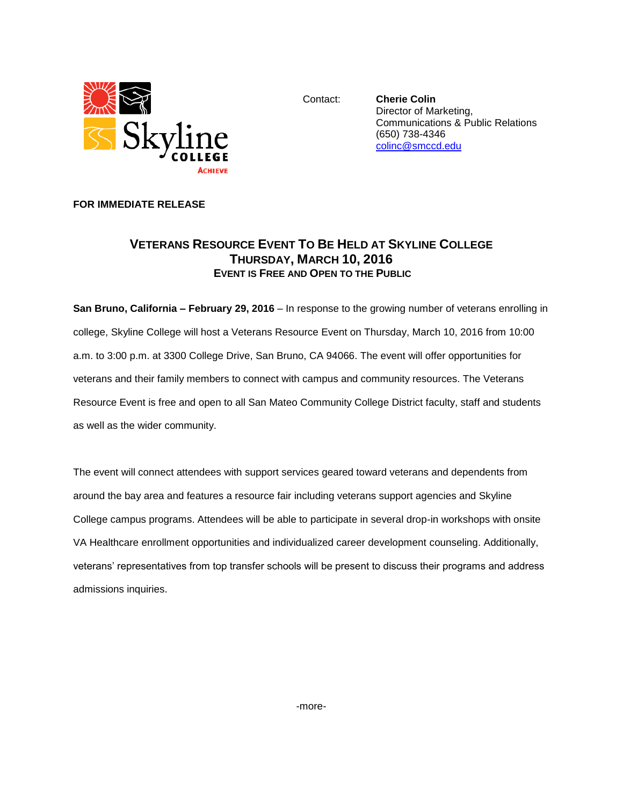

Contact: **Cherie Colin** Director of Marketing, Communications & Public Relations (650) 738-4346 [colinc@smccd.edu](mailto:colinc@smccd.edu)

## **FOR IMMEDIATE RELEASE**

## **VETERANS RESOURCE EVENT TO BE HELD AT SKYLINE COLLEGE THURSDAY, MARCH 10, 2016 EVENT IS FREE AND OPEN TO THE PUBLIC**

**San Bruno, California – February 29, 2016** – In response to the growing number of veterans enrolling in college, Skyline College will host a Veterans Resource Event on Thursday, March 10, 2016 from 10:00 a.m. to 3:00 p.m. at 3300 College Drive, San Bruno, CA 94066. The event will offer opportunities for veterans and their family members to connect with campus and community resources. The Veterans Resource Event is free and open to all San Mateo Community College District faculty, staff and students as well as the wider community.

The event will connect attendees with support services geared toward veterans and dependents from around the bay area and features a resource fair including veterans support agencies and Skyline College campus programs. Attendees will be able to participate in several drop-in workshops with onsite VA Healthcare enrollment opportunities and individualized career development counseling. Additionally, veterans' representatives from top transfer schools will be present to discuss their programs and address admissions inquiries.

-more-